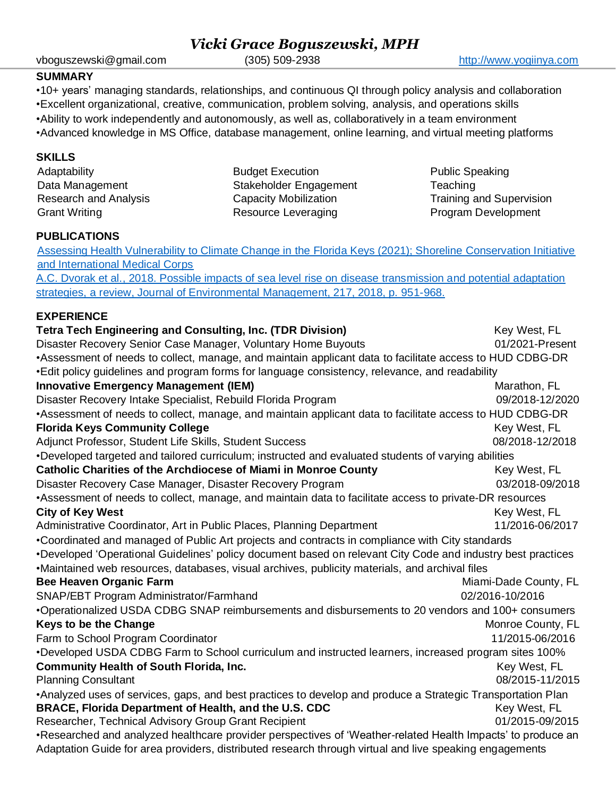#### vboguszewski@gmail.com (305) 509-2938 [http://www.yogiinya.com](http://www.yogiinya.com/)

*Vicki Grace Boguszewski, MPH*

#### **SUMMARY**

•10+ years' managing standards, relationships, and continuous QI through policy analysis and collaboration •Excellent organizational, creative, communication, problem solving, analysis, and operations skills

•Ability to work independently and autonomously, as well as, collaboratively in a team environment •Advanced knowledge in MS Office, database management, online learning, and virtual meeting platforms

### **SKILLS**

Adaptability Data Management Research and Analysis Grant Writing Budget Execution Stakeholder Engagement Capacity Mobilization Resource Leveraging Public Speaking **Teaching** Training and Supervision Program Development

#### **PUBLICATIONS**

[Assessing Health Vulnerability to Climate Change in the Florida Keys \(2021\); Shoreline Conservation Initiative](https://b6769d1f-f25e-4ce8-8c0f-66dde5d724cc.filesusr.com/ugd/6c4f14_b09d41cda46a44f2b1294049f11b160f.pdf)  [and International Medical Corps](https://b6769d1f-f25e-4ce8-8c0f-66dde5d724cc.filesusr.com/ugd/6c4f14_b09d41cda46a44f2b1294049f11b160f.pdf)

A.C. Dvorak et al., [2018. Possible impacts of sea level rise on disease transmission and potential adaptation](https://docs.wixstatic.com/ugd/6c4f14_9f061b42c1b5401aac860bacc7b186f4.pdf)  strategies, a revie[w,](https://docs.wixstatic.com/ugd/6c4f14_9f061b42c1b5401aac860bacc7b186f4.pdf) Journal of Environmental Management, 217, 2018, p. 951-968.

#### **EXPERIENCE**

**Tetra Tech Engineering and Consulting, Inc. (TDR Division) Key West, FL** Disaster Recovery Senior Case Manager, Voluntary Home Buyouts 01/2021-Present •Assessment of needs to collect, manage, and maintain applicant data to facilitate access to HUD CDBG-DR •Edit policy guidelines and program forms for language consistency, relevance, and readability **Innovative Emergency Management (IEM) Management (IEM) Management (IEM) Management COVID-100 Management** COVID-100 Disaster Recovery Intake Specialist, Rebuild Florida Program 09/2018-12/2020 •Assessment of needs to collect, manage, and maintain applicant data to facilitate access to HUD CDBG-DR **Florida Keys Community College** Key West, FL Adjunct Professor, Student Life Skills, Student Success 08/2018-12/2018 •Developed targeted and tailored curriculum; instructed and evaluated students of varying abilities **Catholic Charities of the Archdiocese of Miami in Monroe County Key West, FL** Disaster Recovery Case Manager, Disaster Recovery Program **1988** 1998-09/2018-09/2018 •Assessment of needs to collect, manage, and maintain data to facilitate access to private-DR resources **City of Key West** Key West, FL Administrative Coordinator, Art in Public Places, Planning Department 11/2016-06/2017 •Coordinated and managed of Public Art projects and contracts in compliance with City standards •Developed 'Operational Guidelines' policy document based on relevant City Code and industry best practices •Maintained web resources, databases, visual archives, publicity materials, and archival files **Bee Heaven Organic Farm** Miami-Dade County, FL SNAP/EBT Program Administrator/Farmhand 02/2016-10/2016 •Operationalized USDA CDBG SNAP reimbursements and disbursements to 20 vendors and 100+ consumers **Keys to be the Change** Monroe County, FL Farm to School Program Coordinator 11/2015-06/2016 •Developed USDA CDBG Farm to School curriculum and instructed learners, increased program sites 100% **Community Health of South Florida, Inc. Key West, FL Key West, FL Key West, FL** Planning Consultant 08/2015-11/2015 •Analyzed uses of services, gaps, and best practices to develop and produce a Strategic Transportation Plan **BRACE, Florida Department of Health, and the U.S. CDC** Key West, FL Researcher, Technical Advisory Group Grant Recipient 01/2015-09/2015 •Researched and analyzed healthcare provider perspectives of 'Weather-related Health Impacts' to produce an Adaptation Guide for area providers, distributed research through virtual and live speaking engagements